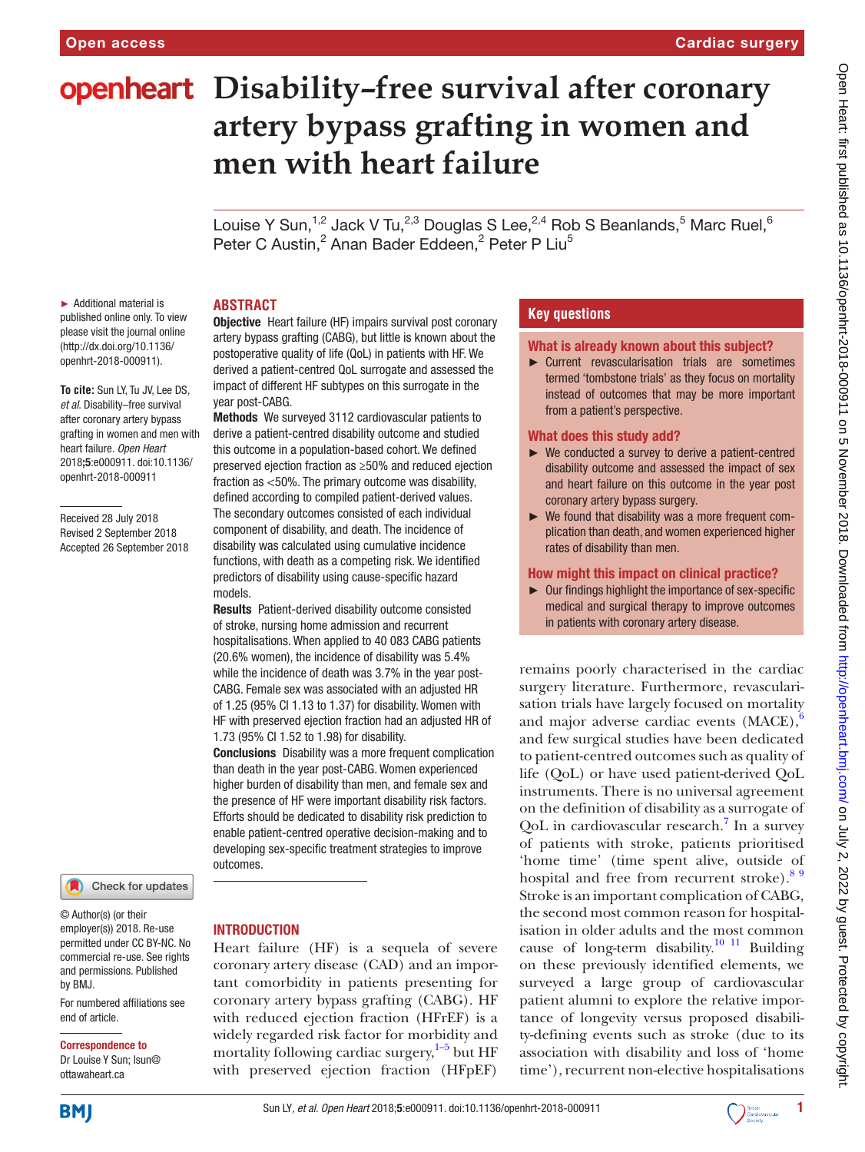# **openheart** Disability-free survival after coronary **artery bypass grafting in women and men with heart failure**

Louise Y Sun,<sup>1,2</sup> Jack V Tu,<sup>2,3</sup> Douglas S Lee,<sup>2,4</sup> Rob S Beanlands,<sup>5</sup> Marc Ruel,<sup>6</sup> Peter C Austin,<sup>2</sup> Anan Bader Eddeen,<sup>2</sup> Peter P Liu<sup>5</sup>

#### ► Additional material is published online only. To view please visit the journal online [\(http://dx.doi.org/10.1136/](http://dx.doi.org/10.1136/openhrt-2018-000911) [openhrt-2018-000911](http://dx.doi.org/10.1136/openhrt-2018-000911)).

**To cite:** Sun LY, Tu JV, Lee DS*, et al*. Disability–free survival after coronary artery bypass grafting in women and men with heart failure*. Open Heart* 2018;5:e000911. doi:10.1136/ openhrt-2018-000911

Received 28 July 2018 Revised 2 September 2018 Accepted 26 September 2018

Check for updates

© Author(s) (or their employer(s)) 2018. Re-use permitted under CC BY-NC. No commercial re-use. See rights and permissions. Published by BMJ.

For numbered affiliations see end of article.

#### Correspondence to

Dr Louise Y Sun; lsun@ ottawaheart.ca

**Abstract**

**Objective** Heart failure (HF) impairs survival post coronary artery bypass grafting (CABG), but little is known about the postoperative quality of life (QoL) in patients with HF. We derived a patient-centred QoL surrogate and assessed the impact of different HF subtypes on this surrogate in the year post-CABG.

Methods We surveyed 3112 cardiovascular patients to derive a patient-centred disability outcome and studied this outcome in a population-based cohort. We defined preserved ejection fraction as ≥50% and reduced ejection fraction as <50%. The primary outcome was disability, defined according to compiled patient-derived values. The secondary outcomes consisted of each individual component of disability, and death. The incidence of disability was calculated using cumulative incidence functions, with death as a competing risk. We identified predictors of disability using cause-specific hazard models.

Results Patient-derived disability outcome consisted of stroke, nursing home admission and recurrent hospitalisations. When applied to 40 083 CABG patients (20.6% women), the incidence of disability was 5.4% while the incidence of death was 3.7% in the year post-CABG. Female sex was associated with an adjusted HR of 1.25 (95% CI 1.13 to 1.37) for disability. Women with HF with preserved ejection fraction had an adjusted HR of 1.73 (95% CI 1.52 to 1.98) for disability.

Conclusions Disability was a more frequent complication than death in the year post-CABG. Women experienced higher burden of disability than men, and female sex and the presence of HF were important disability risk factors. Efforts should be dedicated to disability risk prediction to enable patient-centred operative decision-making and to developing sex-specific treatment strategies to improve outcomes.

## **INTRODUCTION**

Heart failure (HF) is a sequela of severe coronary artery disease (CAD) and an important comorbidity in patients presenting for coronary artery bypass grafting (CABG). HF with reduced ejection fraction (HFrEF) is a widely regarded risk factor for morbidity and mortality following cardiac surgery, $1-5$  but HF with preserved ejection fraction (HFpEF)

## **Key questions**

#### What is already known about this subject?

► Current revascularisation trials are sometimes termed 'tombstone trials' as they focus on mortality instead of outcomes that may be more important from a patient's perspective.

#### What does this study add?

- ► We conducted a survey to derive a patient-centred disability outcome and assessed the impact of sex and heart failure on this outcome in the year post coronary artery bypass surgery.
- ► We found that disability was a more frequent complication than death, and women experienced higher rates of disability than men.

#### How might this impact on clinical practice?

 $\triangleright$  Our findings highlight the importance of sex-specific medical and surgical therapy to improve outcomes in patients with coronary artery disease.

remains poorly characterised in the cardiac surgery literature. Furthermore, revascularisation trials have largely focused on mortality and major adverse cardiac events  $(MACE)$ , and few surgical studies have been dedicated to patient-centred outcomes such as quality of life (QoL) or have used patient-derived QoL instruments. There is no universal agreement on the definition of disability as a surrogate of QoL in cardiovascular research.<sup>[7](#page-10-2)</sup> In a survey of patients with stroke, patients prioritised 'home time' (time spent alive, outside of hospital and free from recurrent stroke).<sup>89</sup> Stroke is an important complication of CABG, the second most common reason for hospitalisation in older adults and the most common cause of long-term disability.<sup>10 11</sup> Building on these previously identified elements, we surveyed a large group of cardiovascular patient alumni to explore the relative importance of longevity versus proposed disability-defining events such as stroke (due to its association with disability and loss of 'home time'), recurrent non-elective hospitalisations



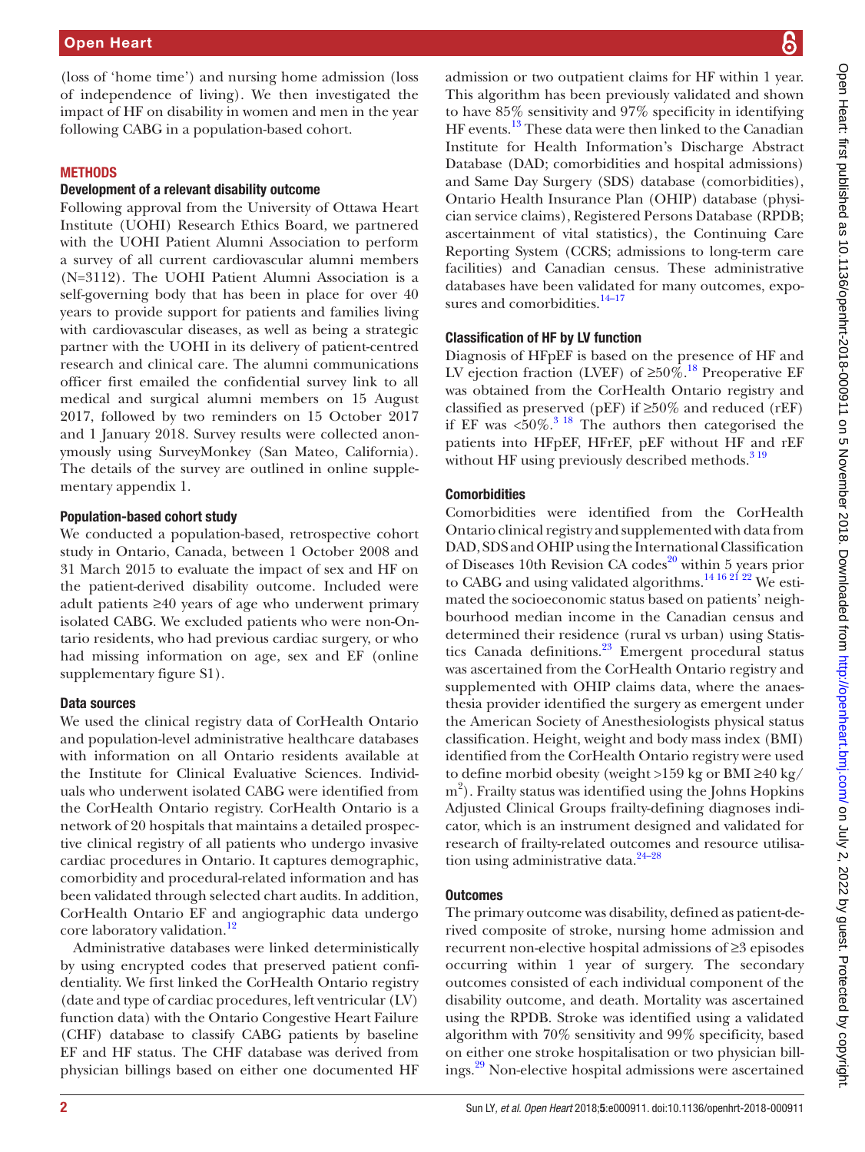(loss of 'home time') and nursing home admission (loss of independence of living). We then investigated the impact of HF on disability in women and men in the year following CABG in a population-based cohort.

## **METHODS**

## Development of a relevant disability outcome

Following approval from the University of Ottawa Heart Institute (UOHI) Research Ethics Board, we partnered with the UOHI Patient Alumni Association to perform a survey of all current cardiovascular alumni members (N=3112). The UOHI Patient Alumni Association is a self-governing body that has been in place for over 40 years to provide support for patients and families living with cardiovascular diseases, as well as being a strategic partner with the UOHI in its delivery of patient-centred research and clinical care. The alumni communications officer first emailed the confidential survey link to all medical and surgical alumni members on 15 August 2017, followed by two reminders on 15 October 2017 and 1 January 2018. Survey results were collected anonymously using SurveyMonkey (San Mateo, California). The details of the survey are outlined in [online supple](https://dx.doi.org/10.1136/openhrt-2018-000911)[mentary appendix 1](https://dx.doi.org/10.1136/openhrt-2018-000911).

## Population-based cohort study

We conducted a population-based, retrospective cohort study in Ontario, Canada, between 1 October 2008 and 31 March 2015 to evaluate the impact of sex and HF on the patient-derived disability outcome. Included were adult patients ≥40 years of age who underwent primary isolated CABG. We excluded patients who were non-Ontario residents, who had previous cardiac surgery, or who had missing information on age, sex and EF [\(online](https://dx.doi.org/10.1136/openhrt-2018-000911) [supplementary figure S1\)](https://dx.doi.org/10.1136/openhrt-2018-000911).

## Data sources

We used the clinical registry data of CorHealth Ontario and population-level administrative healthcare databases with information on all Ontario residents available at the Institute for Clinical Evaluative Sciences. Individuals who underwent isolated CABG were identified from the CorHealth Ontario registry. CorHealth Ontario is a network of 20 hospitals that maintains a detailed prospective clinical registry of all patients who undergo invasive cardiac procedures in Ontario. It captures demographic, comorbidity and procedural-related information and has been validated through selected chart audits. In addition, CorHealth Ontario EF and angiographic data undergo core laboratory validation.<sup>12</sup>

Administrative databases were linked deterministically by using encrypted codes that preserved patient confidentiality. We first linked the CorHealth Ontario registry (date and type of cardiac procedures, left ventricular (LV) function data) with the Ontario Congestive Heart Failure (CHF) database to classify CABG patients by baseline EF and HF status. The CHF database was derived from physician billings based on either one documented HF

Open Heart: first published as 10.1136/openhrt-2018-000911 on 5 November 2018. Downloaded from http://openheart.bm/ on July 2, 2022 by guest. Protected by copyright Open Heart: first published as 10.1136/openhrt-2018-000911 on 5 November 2018. Downloaded from <http://openheart.bmj.com/> on July 2, 2022 by guest. Protected by copyright.

admission or two outpatient claims for HF within 1 year. This algorithm has been previously validated and shown to have 85% sensitivity and 97% specificity in identifying HF events.<sup>13</sup> These data were then linked to the Canadian Institute for Health Information's Discharge Abstract Database (DAD; comorbidities and hospital admissions) and Same Day Surgery (SDS) database (comorbidities), Ontario Health Insurance Plan (OHIP) database (physician service claims), Registered Persons Database (RPDB; ascertainment of vital statistics), the Continuing Care Reporting System (CCRS; admissions to long-term care facilities) and Canadian census. These administrative databases have been validated for many outcomes, exposures and comorbidities. $14-17$ 

## Classification of HF by LV function

Diagnosis of HFpEF is based on the presence of HF and LV ejection fraction (LVEF) of  $\geq 50\%$ .<sup>[18](#page-10-8)</sup> Preoperative EF was obtained from the CorHealth Ontario registry and classified as preserved (pEF) if ≥50% and reduced (rEF) if EF was  $\leq 50\%$ .<sup>3</sup> 18 The authors then categorised the patients into HFpEF, HFrEF, pEF without HF and rEF without HF using previously described methods. $319$ 

#### **Comorbidities**

Comorbidities were identified from the CorHealth Ontario clinical registry and supplemented with data from DAD, SDS and OHIP using the International Classification of Diseases 10th Revision CA codes<sup>[20](#page-10-10)</sup> within 5 years prior to CABG and using validated algorithms.<sup>14 16 21</sup> <sup>22</sup> We estimated the socioeconomic status based on patients' neighbourhood median income in the Canadian census and determined their residence (rural vs urban) using Statis-tics Canada definitions.<sup>[23](#page-10-11)</sup> Emergent procedural status was ascertained from the CorHealth Ontario registry and supplemented with OHIP claims data, where the anaesthesia provider identified the surgery as emergent under the American Society of Anesthesiologists physical status classification. Height, weight and body mass index (BMI) identified from the CorHealth Ontario registry were used to define morbid obesity (weight >159 kg or BMI ≥40 kg/ m<sup>2</sup>). Frailty status was identified using the Johns Hopkins Adjusted Clinical Groups frailty-defining diagnoses indicator, which is an instrument designed and validated for research of frailty-related outcomes and resource utilisa-tion using administrative data.<sup>[24–28](#page-10-12)</sup>

#### **Outcomes**

The primary outcome was disability, defined as patient-derived composite of stroke, nursing home admission and recurrent non-elective hospital admissions of ≥3 episodes occurring within 1 year of surgery. The secondary outcomes consisted of each individual component of the disability outcome, and death. Mortality was ascertained using the RPDB. Stroke was identified using a validated algorithm with 70% sensitivity and 99% specificity, based on either one stroke hospitalisation or two physician billings.<sup>29</sup> Non-elective hospital admissions were ascertained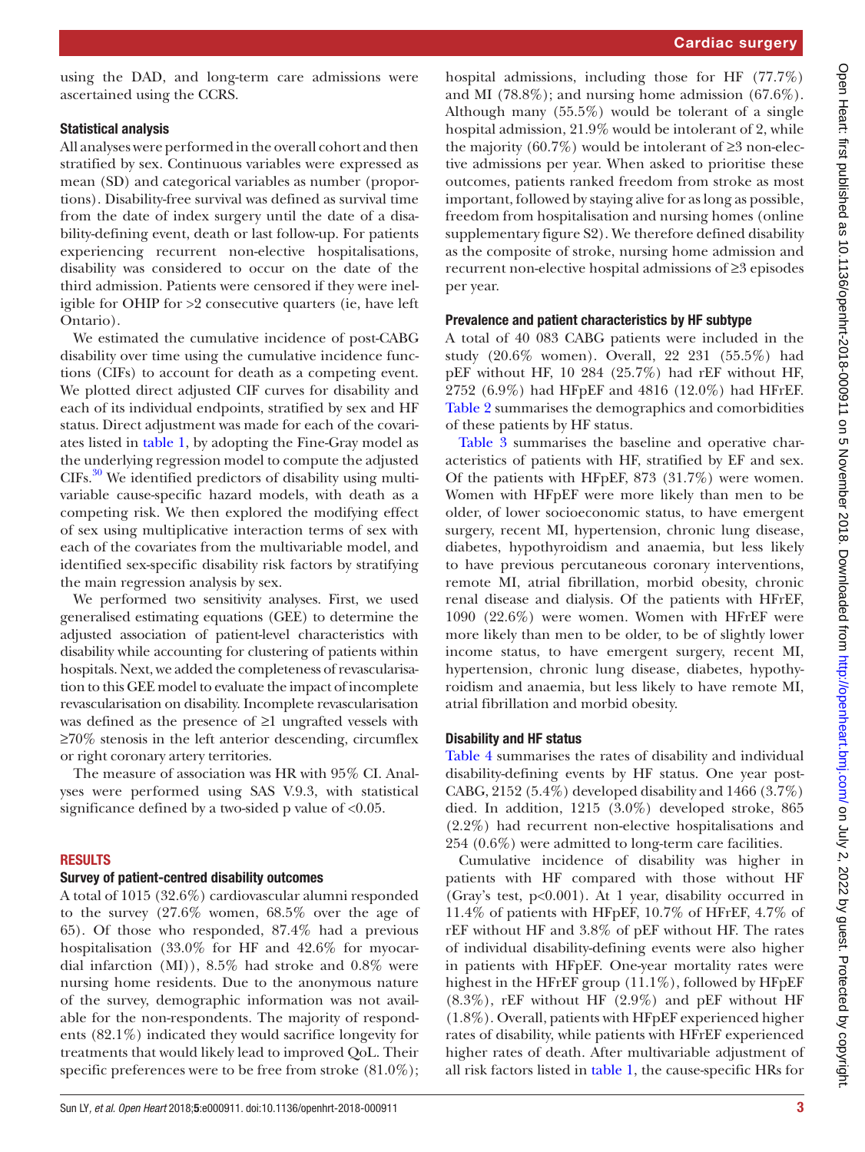using the DAD, and long-term care admissions were ascertained using the CCRS.

## Statistical analysis

All analyses were performed in the overall cohort and then stratified by sex. Continuous variables were expressed as mean (SD) and categorical variables as number (proportions). Disability-free survival was defined as survival time from the date of index surgery until the date of a disability-defining event, death or last follow-up. For patients experiencing recurrent non-elective hospitalisations, disability was considered to occur on the date of the third admission. Patients were censored if they were ineligible for OHIP for >2 consecutive quarters (ie, have left Ontario).

We estimated the cumulative incidence of post-CABG disability over time using the cumulative incidence functions (CIFs) to account for death as a competing event. We plotted direct adjusted CIF curves for disability and each of its individual endpoints, stratified by sex and HF status. Direct adjustment was made for each of the covariates listed in [table](#page-3-0) 1, by adopting the Fine-Gray model as the underlying regression model to compute the adjusted CIFs[.30](#page-10-14) We identified predictors of disability using multivariable cause-specific hazard models, with death as a competing risk. We then explored the modifying effect of sex using multiplicative interaction terms of sex with each of the covariates from the multivariable model, and identified sex-specific disability risk factors by stratifying the main regression analysis by sex.

We performed two sensitivity analyses. First, we used generalised estimating equations (GEE) to determine the adjusted association of patient-level characteristics with disability while accounting for clustering of patients within hospitals. Next, we added the completeness of revascularisation to this GEE model to evaluate the impact of incomplete revascularisation on disability. Incomplete revascularisation was defined as the presence of ≥1 ungrafted vessels with ≥70% stenosis in the left anterior descending, circumflex or right coronary artery territories.

The measure of association was HR with 95% CI. Analyses were performed using SAS V.9.3, with statistical significance defined by a two-sided p value of <0.05.

## **RESULTS**

## Survey of patient-centred disability outcomes

A total of 1015 (32.6%) cardiovascular alumni responded to the survey (27.6% women, 68.5% over the age of 65). Of those who responded, 87.4% had a previous hospitalisation (33.0% for HF and 42.6% for myocardial infarction (MI)), 8.5% had stroke and 0.8% were nursing home residents. Due to the anonymous nature of the survey, demographic information was not available for the non-respondents. The majority of respondents (82.1%) indicated they would sacrifice longevity for treatments that would likely lead to improved QoL. Their specific preferences were to be free from stroke (81.0%);

hospital admissions, including those for HF (77.7%) and MI (78.8%); and nursing home admission (67.6%). Although many (55.5%) would be tolerant of a single hospital admission, 21.9% would be intolerant of 2, while the majority (60.7%) would be intolerant of  $\geq$ 3 non-elective admissions per year. When asked to prioritise these outcomes, patients ranked freedom from stroke as most important, followed by staying alive for as long as possible, freedom from hospitalisation and nursing homes ([online](https://dx.doi.org/10.1136/openhrt-2018-000911)  [supplementary figure S2](https://dx.doi.org/10.1136/openhrt-2018-000911)). We therefore defined disability as the composite of stroke, nursing home admission and recurrent non-elective hospital admissions of ≥3 episodes per year.

## Prevalence and patient characteristics by HF subtype

A total of 40 083 CABG patients were included in the study (20.6% women). Overall, 22 231 (55.5%) had pEF without HF, 10 284 (25.7%) had rEF without HF, 2752 (6.9%) had HFpEF and 4816 (12.0%) had HFrEF. [Table](#page-4-0) 2 summarises the demographics and comorbidities of these patients by HF status.

[Table](#page-5-0) 3 summarises the baseline and operative characteristics of patients with HF, stratified by EF and sex. Of the patients with HFpEF, 873 (31.7%) were women. Women with HFpEF were more likely than men to be older, of lower socioeconomic status, to have emergent surgery, recent MI, hypertension, chronic lung disease, diabetes, hypothyroidism and anaemia, but less likely to have previous percutaneous coronary interventions, remote MI, atrial fibrillation, morbid obesity, chronic renal disease and dialysis. Of the patients with HFrEF, 1090 (22.6%) were women. Women with HFrEF were more likely than men to be older, to be of slightly lower income status, to have emergent surgery, recent MI, hypertension, chronic lung disease, diabetes, hypothyroidism and anaemia, but less likely to have remote MI, atrial fibrillation and morbid obesity.

## Disability and HF status

[Table](#page-6-0) 4 summarises the rates of disability and individual disability-defining events by HF status. One year post-CABG, 2152 (5.4%) developed disability and 1466 (3.7%) died. In addition, 1215 (3.0%) developed stroke, 865 (2.2%) had recurrent non-elective hospitalisations and 254 (0.6%) were admitted to long-term care facilities.

Cumulative incidence of disability was higher in patients with HF compared with those without HF (Gray's test, p<0.001). At 1 year, disability occurred in 11.4% of patients with HFpEF, 10.7% of HFrEF, 4.7% of rEF without HF and 3.8% of pEF without HF. The rates of individual disability-defining events were also higher in patients with HFpEF. One-year mortality rates were highest in the HFrEF group (11.1%), followed by HFpEF (8.3%), rEF without HF (2.9%) and pEF without HF (1.8%). Overall, patients with HFpEF experienced higher rates of disability, while patients with HFrEF experienced higher rates of death. After multivariable adjustment of all risk factors listed in [table](#page-3-0) 1, the cause-specific HRs for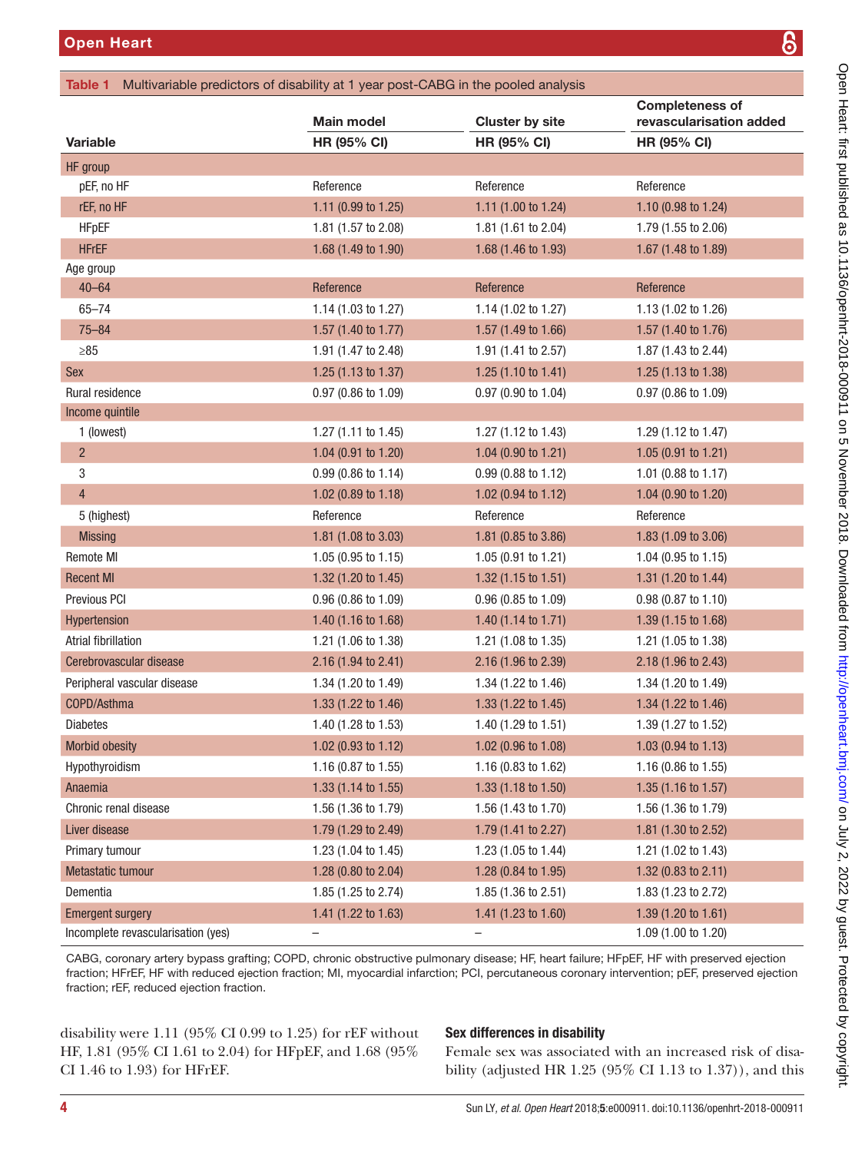|                                    | <b>Main model</b>              | <b>Cluster by site</b>         | <b>Completeness of</b><br>revascularisation added |
|------------------------------------|--------------------------------|--------------------------------|---------------------------------------------------|
| Variable                           | HR (95% CI)                    | <b>HR (95% CI)</b>             | <b>HR (95% CI)</b>                                |
| HF group                           |                                |                                |                                                   |
| pEF, no HF                         | Reference                      | Reference                      | Reference                                         |
| rEF, no HF                         | 1.11 (0.99 to 1.25)            | 1.11 (1.00 to 1.24)            | 1.10 (0.98 to 1.24)                               |
| <b>HFpEF</b>                       | 1.81 (1.57 to 2.08)            | 1.81 (1.61 to 2.04)            | 1.79 (1.55 to 2.06)                               |
| <b>HFrEF</b>                       | 1.68 (1.49 to 1.90)            | 1.68 (1.46 to 1.93)            | 1.67 (1.48 to 1.89)                               |
| Age group                          |                                |                                |                                                   |
| $40 - 64$                          | Reference                      | Reference                      | Reference                                         |
| $65 - 74$                          | 1.14 $(1.03 \text{ to } 1.27)$ | 1.14 (1.02 to 1.27)            | 1.13 (1.02 to 1.26)                               |
| $75 - 84$                          | 1.57 (1.40 to 1.77)            | 1.57 (1.49 to 1.66)            | 1.57 $(1.40 \text{ to } 1.76)$                    |
| $\geq 85$                          | 1.91 (1.47 to 2.48)            | 1.91 (1.41 to 2.57)            | 1.87 (1.43 to 2.44)                               |
| <b>Sex</b>                         | 1.25 $(1.13$ to 1.37)          | 1.25 (1.10 to 1.41)            | 1.25 (1.13 to 1.38)                               |
| Rural residence                    | 0.97 (0.86 to 1.09)            | 0.97 (0.90 to 1.04)            | 0.97 (0.86 to 1.09)                               |
| Income quintile                    |                                |                                |                                                   |
| 1 (lowest)                         | 1.27 (1.11 to 1.45)            | 1.27 $(1.12 \text{ to } 1.43)$ | 1.29 (1.12 to 1.47)                               |
| $\overline{2}$                     | 1.04 (0.91 to 1.20)            | 1.04 (0.90 to 1.21)            | $1.05(0.91 \text{ to } 1.21)$                     |
| 3                                  | 0.99 (0.86 to 1.14)            | $0.99$ (0.88 to 1.12)          | 1.01 $(0.88 \text{ to } 1.17)$                    |
| $\overline{4}$                     | 1.02 (0.89 to 1.18)            | 1.02 (0.94 to 1.12)            | 1.04 (0.90 to 1.20)                               |
| 5 (highest)                        | Reference                      | Reference                      | Reference                                         |
| <b>Missing</b>                     | 1.81 (1.08 to 3.03)            | 1.81 (0.85 to 3.86)            | 1.83 $(1.09 \text{ to } 3.06)$                    |
| Remote MI                          | $1.05(0.95 \text{ to } 1.15)$  | 1.05 (0.91 to 1.21)            | 1.04 (0.95 to 1.15)                               |
| <b>Recent MI</b>                   | 1.32 (1.20 to 1.45)            | 1.32 $(1.15 \text{ to } 1.51)$ | 1.31 (1.20 to 1.44)                               |
| Previous PCI                       | 0.96 (0.86 to 1.09)            | 0.96 (0.85 to 1.09)            | $0.98$ (0.87 to 1.10)                             |
| Hypertension                       | 1.40 (1.16 to 1.68)            | 1.40 (1.14 to 1.71)            | 1.39 (1.15 to 1.68)                               |
| Atrial fibrillation                | 1.21 (1.06 to 1.38)            | 1.21 (1.08 to 1.35)            | 1.21 (1.05 to 1.38)                               |
| Cerebrovascular disease            | 2.16 (1.94 to 2.41)            | 2.16 (1.96 to 2.39)            | $2.18(1.96 \text{ to } 2.43)$                     |
| Peripheral vascular disease        | 1.34 (1.20 to 1.49)            | 1.34 (1.22 to 1.46)            | 1.34 (1.20 to 1.49)                               |
| COPD/Asthma                        | 1.33 (1.22 to 1.46)            | 1.33 (1.22 to 1.45)            | 1.34 (1.22 to 1.46)                               |
| <b>Diabetes</b>                    | 1.40 (1.28 to 1.53)            | 1.40 (1.29 to 1.51)            | 1.39 (1.27 to 1.52)                               |
| <b>Morbid obesity</b>              | $1.02(0.93 \text{ to } 1.12)$  | 1.02 (0.96 to 1.08)            | 1.03 (0.94 to 1.13)                               |
| Hypothyroidism                     | 1.16 (0.87 to 1.55)            | 1.16 (0.83 to 1.62)            | 1.16 (0.86 to 1.55)                               |
| Anaemia                            | 1.33 $(1.14 \text{ to } 1.55)$ | 1.33 $(1.18 \text{ to } 1.50)$ | 1.35 $(1.16 \text{ to } 1.57)$                    |
| Chronic renal disease              | 1.56 (1.36 to 1.79)            | 1.56 (1.43 to 1.70)            | 1.56 (1.36 to 1.79)                               |
| Liver disease                      | 1.79 (1.29 to 2.49)            | 1.79 (1.41 to 2.27)            | 1.81 (1.30 to 2.52)                               |
| Primary tumour                     | 1.23 (1.04 to 1.45)            | 1.23 (1.05 to 1.44)            | 1.21 (1.02 to 1.43)                               |
| Metastatic tumour                  | 1.28 (0.80 to 2.04)            | 1.28 (0.84 to 1.95)            | 1.32 $(0.83 \text{ to } 2.11)$                    |
| Dementia                           | 1.85 (1.25 to 2.74)            | 1.85 (1.36 to 2.51)            | 1.83 $(1.23 \text{ to } 2.72)$                    |
| <b>Emergent surgery</b>            | 1.41 (1.22 to 1.63)            | 1.41 $(1.23 \text{ to } 1.60)$ | 1.39 (1.20 to 1.61)                               |
| Incomplete revascularisation (yes) |                                |                                | 1.09 (1.00 to 1.20)                               |

<span id="page-3-0"></span>Table 1 Multivariable predictors of disability at 1 year post-CABG in the pooled analysis

CABG, coronary artery bypass grafting; COPD, chronic obstructive pulmonary disease; HF, heart failure; HFpEF, HF with preserved ejection fraction; HFrEF, HF with reduced ejection fraction; MI, myocardial infarction; PCI, percutaneous coronary intervention; pEF, preserved ejection fraction; rEF, reduced ejection fraction.

disability were 1.11 (95% CI 0.99 to 1.25) for rEF without HF, 1.81 (95% CI 1.61 to 2.04) for HFpEF, and 1.68 (95% CI 1.46 to 1.93) for HFrEF.

## Sex differences in disability

Female sex was associated with an increased risk of disability (adjusted HR 1.25 (95% CI 1.13 to 1.37)), and this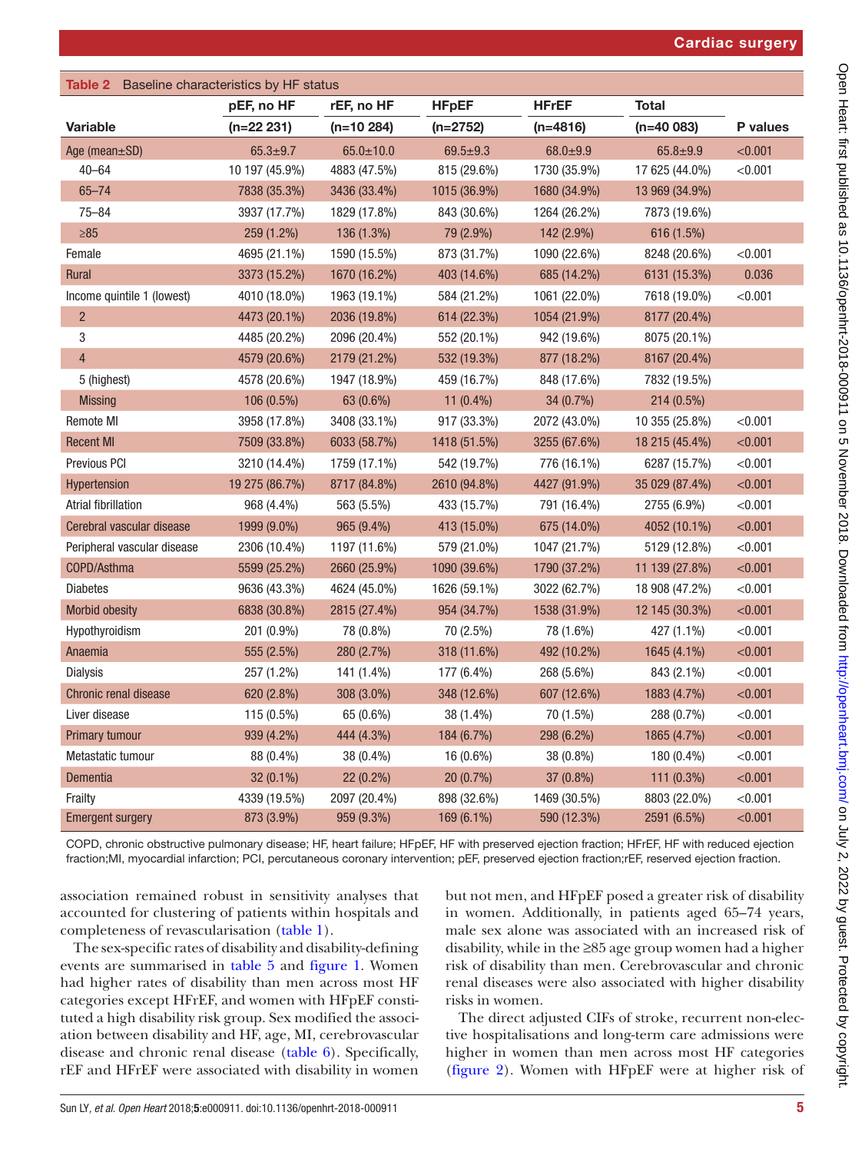<span id="page-4-0"></span>

| Baseline characteristics by HF status<br>Table 2 |                |                 |              |              |                |          |  |  |
|--------------------------------------------------|----------------|-----------------|--------------|--------------|----------------|----------|--|--|
|                                                  | pEF, no HF     | rEF, no HF      | <b>HFpEF</b> | <b>HFrEF</b> | <b>Total</b>   |          |  |  |
| <b>Variable</b>                                  | $(n=22 231)$   | $(n=10 284)$    | $(n=2752)$   | $(n=4816)$   | $(n=40083)$    | P values |  |  |
| Age (mean $\pm$ SD)                              | $65.3 + 9.7$   | $65.0 \pm 10.0$ | $69.5 + 9.3$ | $68.0 + 9.9$ | $65.8 + 9.9$   | < 0.001  |  |  |
| $40 - 64$                                        | 10 197 (45.9%) | 4883 (47.5%)    | 815 (29.6%)  | 1730 (35.9%) | 17 625 (44.0%) | < 0.001  |  |  |
| $65 - 74$                                        | 7838 (35.3%)   | 3436 (33.4%)    | 1015 (36.9%) | 1680 (34.9%) | 13 969 (34.9%) |          |  |  |
| $75 - 84$                                        | 3937 (17.7%)   | 1829 (17.8%)    | 843 (30.6%)  | 1264 (26.2%) | 7873 (19.6%)   |          |  |  |
| $\geq 85$                                        | 259 (1.2%)     | 136 (1.3%)      | 79 (2.9%)    | 142 (2.9%)   | 616 (1.5%)     |          |  |  |
| Female                                           | 4695 (21.1%)   | 1590 (15.5%)    | 873 (31.7%)  | 1090 (22.6%) | 8248 (20.6%)   | < 0.001  |  |  |
| Rural                                            | 3373 (15.2%)   | 1670 (16.2%)    | 403 (14.6%)  | 685 (14.2%)  | 6131 (15.3%)   | 0.036    |  |  |
| Income quintile 1 (lowest)                       | 4010 (18.0%)   | 1963 (19.1%)    | 584 (21.2%)  | 1061 (22.0%) | 7618 (19.0%)   | < 0.001  |  |  |
| $\overline{2}$                                   | 4473 (20.1%)   | 2036 (19.8%)    | 614 (22.3%)  | 1054 (21.9%) | 8177 (20.4%)   |          |  |  |
| 3                                                | 4485 (20.2%)   | 2096 (20.4%)    | 552 (20.1%)  | 942 (19.6%)  | 8075 (20.1%)   |          |  |  |
| $\overline{4}$                                   | 4579 (20.6%)   | 2179 (21.2%)    | 532 (19.3%)  | 877 (18.2%)  | 8167 (20.4%)   |          |  |  |
| 5 (highest)                                      | 4578 (20.6%)   | 1947 (18.9%)    | 459 (16.7%)  | 848 (17.6%)  | 7832 (19.5%)   |          |  |  |
| <b>Missing</b>                                   | 106 (0.5%)     | 63 (0.6%)       | $11(0.4\%)$  | 34 (0.7%)    | 214 (0.5%)     |          |  |  |
| Remote MI                                        | 3958 (17.8%)   | 3408 (33.1%)    | 917 (33.3%)  | 2072 (43.0%) | 10 355 (25.8%) | < 0.001  |  |  |
| <b>Recent MI</b>                                 | 7509 (33.8%)   | 6033 (58.7%)    | 1418 (51.5%) | 3255 (67.6%) | 18 215 (45.4%) | < 0.001  |  |  |
| Previous PCI                                     | 3210 (14.4%)   | 1759 (17.1%)    | 542 (19.7%)  | 776 (16.1%)  | 6287 (15.7%)   | < 0.001  |  |  |
| Hypertension                                     | 19 275 (86.7%) | 8717 (84.8%)    | 2610 (94.8%) | 4427 (91.9%) | 35 029 (87.4%) | < 0.001  |  |  |
| Atrial fibrillation                              | 968 (4.4%)     | 563 (5.5%)      | 433 (15.7%)  | 791 (16.4%)  | 2755 (6.9%)    | < 0.001  |  |  |
| Cerebral vascular disease                        | 1999 (9.0%)    | 965 (9.4%)      | 413 (15.0%)  | 675 (14.0%)  | 4052 (10.1%)   | < 0.001  |  |  |
| Peripheral vascular disease                      | 2306 (10.4%)   | 1197 (11.6%)    | 579 (21.0%)  | 1047 (21.7%) | 5129 (12.8%)   | < 0.001  |  |  |
| COPD/Asthma                                      | 5599 (25.2%)   | 2660 (25.9%)    | 1090 (39.6%) | 1790 (37.2%) | 11 139 (27.8%) | < 0.001  |  |  |
| <b>Diabetes</b>                                  | 9636 (43.3%)   | 4624 (45.0%)    | 1626 (59.1%) | 3022 (62.7%) | 18 908 (47.2%) | < 0.001  |  |  |
| <b>Morbid obesity</b>                            | 6838 (30.8%)   | 2815 (27.4%)    | 954 (34.7%)  | 1538 (31.9%) | 12 145 (30.3%) | < 0.001  |  |  |
| Hypothyroidism                                   | 201 (0.9%)     | 78 (0.8%)       | 70 (2.5%)    | 78 (1.6%)    | 427 (1.1%)     | < 0.001  |  |  |
| Anaemia                                          | 555 (2.5%)     | 280 (2.7%)      | 318 (11.6%)  | 492 (10.2%)  | 1645 (4.1%)    | < 0.001  |  |  |
| <b>Dialysis</b>                                  | 257 (1.2%)     | 141 (1.4%)      | 177 (6.4%)   | 268 (5.6%)   | 843 (2.1%)     | < 0.001  |  |  |
| <b>Chronic renal disease</b>                     | 620 (2.8%)     | 308 (3.0%)      | 348 (12.6%)  | 607 (12.6%)  | 1883 (4.7%)    | < 0.001  |  |  |
| Liver disease                                    | 115 (0.5%)     | 65 (0.6%)       | 38 (1.4%)    | 70 (1.5%)    | 288 (0.7%)     | < 0.001  |  |  |
| Primary tumour                                   | 939 (4.2%)     | 444 (4.3%)      | 184 (6.7%)   | 298 (6.2%)   | 1865 (4.7%)    | < 0.001  |  |  |
| Metastatic tumour                                | 88 (0.4%)      | 38 (0.4%)       | 16 (0.6%)    | 38 (0.8%)    | 180 (0.4%)     | < 0.001  |  |  |
| Dementia                                         | 32 (0.1%)      | 22 (0.2%)       | 20 (0.7%)    | 37 (0.8%)    | 111 (0.3%)     | < 0.001  |  |  |
| Frailty                                          | 4339 (19.5%)   | 2097 (20.4%)    | 898 (32.6%)  | 1469 (30.5%) | 8803 (22.0%)   | < 0.001  |  |  |
| <b>Emergent surgery</b>                          | 873 (3.9%)     | 959 (9.3%)      | 169 (6.1%)   | 590 (12.3%)  | 2591 (6.5%)    | < 0.001  |  |  |

COPD, chronic obstructive pulmonary disease; HF, heart failure; HFpEF, HF with preserved ejection fraction; HFrEF, HF with reduced ejection fraction;MI, myocardial infarction; PCI, percutaneous coronary intervention; pEF, preserved ejection fraction;rEF, reserved ejection fraction.

association remained robust in sensitivity analyses that accounted for clustering of patients within hospitals and completeness of revascularisation ([table](#page-3-0) 1).

The sex-specific rates of disability and disability-defining events are summarised in [table](#page-6-1) 5 and [figure](#page-7-0) 1. Women had higher rates of disability than men across most HF categories except HFrEF, and women with HFpEF constituted a high disability risk group. Sex modified the association between disability and HF, age, MI, cerebrovascular disease and chronic renal disease [\(table](#page-7-1) 6). Specifically, rEF and HFrEF were associated with disability in women

but not men, and HFpEF posed a greater risk of disability in women. Additionally, in patients aged 65–74 years, male sex alone was associated with an increased risk of disability, while in the ≥85 age group women had a higher risk of disability than men. Cerebrovascular and chronic renal diseases were also associated with higher disability risks in women.

The direct adjusted CIFs of stroke, recurrent non-elective hospitalisations and long-term care admissions were higher in women than men across most HF categories [\(figure](#page-8-0) 2). Women with HFpEF were at higher risk of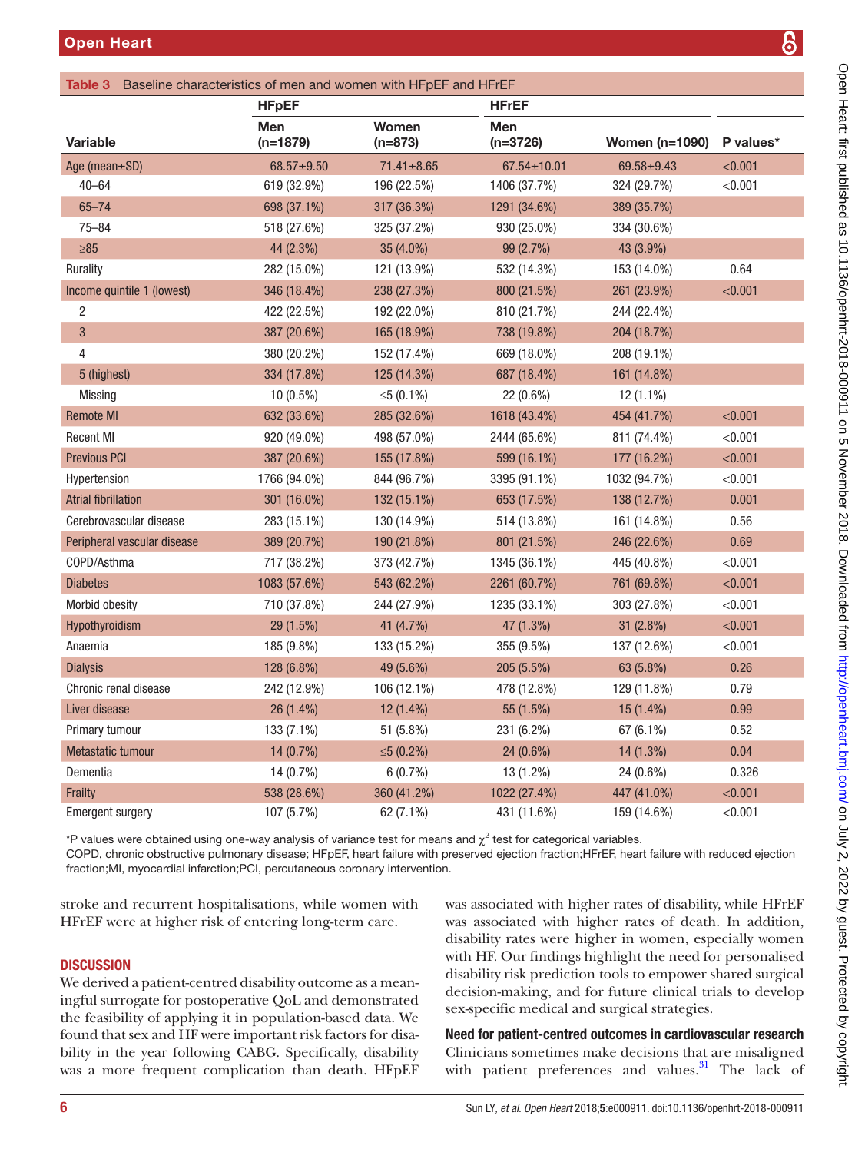<span id="page-5-0"></span>

| Table 3<br>Baseline characteristics of men and women with HFpEF and HFrEF |                   |                    |                   |                |           |  |  |
|---------------------------------------------------------------------------|-------------------|--------------------|-------------------|----------------|-----------|--|--|
|                                                                           | <b>HFpEF</b>      |                    | <b>HFrEF</b>      |                |           |  |  |
| <b>Variable</b>                                                           | Men<br>$(n=1879)$ | Women<br>$(n=873)$ | Men<br>$(n=3726)$ | Women (n=1090) | P values* |  |  |
| Age (mean±SD)                                                             | 68.57±9.50        | $71.41 \pm 8.65$   | $67.54 \pm 10.01$ | $69.58 + 9.43$ | < 0.001   |  |  |
| $40 - 64$                                                                 | 619 (32.9%)       | 196 (22.5%)        | 1406 (37.7%)      | 324 (29.7%)    | < 0.001   |  |  |
| $65 - 74$                                                                 | 698 (37.1%)       | 317 (36.3%)        | 1291 (34.6%)      | 389 (35.7%)    |           |  |  |
| $75 - 84$                                                                 | 518 (27.6%)       | 325 (37.2%)        | 930 (25.0%)       | 334 (30.6%)    |           |  |  |
| $\geq 85$                                                                 | 44 (2.3%)         | 35 (4.0%)          | 99 (2.7%)         | 43 (3.9%)      |           |  |  |
| Rurality                                                                  | 282 (15.0%)       | 121 (13.9%)        | 532 (14.3%)       | 153 (14.0%)    | 0.64      |  |  |
| Income quintile 1 (lowest)                                                | 346 (18.4%)       | 238 (27.3%)        | 800 (21.5%)       | 261 (23.9%)    | < 0.001   |  |  |
| 2                                                                         | 422 (22.5%)       | 192 (22.0%)        | 810 (21.7%)       | 244 (22.4%)    |           |  |  |
| 3                                                                         | 387 (20.6%)       | 165 (18.9%)        | 738 (19.8%)       | 204 (18.7%)    |           |  |  |
| 4                                                                         | 380 (20.2%)       | 152 (17.4%)        | 669 (18.0%)       | 208 (19.1%)    |           |  |  |
| 5 (highest)                                                               | 334 (17.8%)       | 125 (14.3%)        | 687 (18.4%)       | 161 (14.8%)    |           |  |  |
| Missing                                                                   | 10 (0.5%)         | ≤5 (0.1%)          | 22 (0.6%)         | 12 (1.1%)      |           |  |  |
| <b>Remote MI</b>                                                          | 632 (33.6%)       | 285 (32.6%)        | 1618 (43.4%)      | 454 (41.7%)    | < 0.001   |  |  |
| <b>Recent MI</b>                                                          | 920 (49.0%)       | 498 (57.0%)        | 2444 (65.6%)      | 811 (74.4%)    | < 0.001   |  |  |
| <b>Previous PCI</b>                                                       | 387 (20.6%)       | 155 (17.8%)        | 599 (16.1%)       | 177 (16.2%)    | < 0.001   |  |  |
| Hypertension                                                              | 1766 (94.0%)      | 844 (96.7%)        | 3395 (91.1%)      | 1032 (94.7%)   | < 0.001   |  |  |
| <b>Atrial fibrillation</b>                                                | 301 (16.0%)       | 132 (15.1%)        | 653 (17.5%)       | 138 (12.7%)    | 0.001     |  |  |
| Cerebrovascular disease                                                   | 283 (15.1%)       | 130 (14.9%)        | 514 (13.8%)       | 161 (14.8%)    | 0.56      |  |  |
| Peripheral vascular disease                                               | 389 (20.7%)       | 190 (21.8%)        | 801 (21.5%)       | 246 (22.6%)    | 0.69      |  |  |
| COPD/Asthma                                                               | 717 (38.2%)       | 373 (42.7%)        | 1345 (36.1%)      | 445 (40.8%)    | < 0.001   |  |  |
| <b>Diabetes</b>                                                           | 1083 (57.6%)      | 543 (62.2%)        | 2261 (60.7%)      | 761 (69.8%)    | < 0.001   |  |  |
| <b>Morbid obesity</b>                                                     | 710 (37.8%)       | 244 (27.9%)        | 1235 (33.1%)      | 303 (27.8%)    | < 0.001   |  |  |
| Hypothyroidism                                                            | 29 (1.5%)         | 41 (4.7%)          | 47 (1.3%)         | 31 (2.8%)      | < 0.001   |  |  |
| Anaemia                                                                   | 185 (9.8%)        | 133 (15.2%)        | 355 (9.5%)        | 137 (12.6%)    | < 0.001   |  |  |
| <b>Dialysis</b>                                                           | 128 (6.8%)        | 49 (5.6%)          | 205 (5.5%)        | 63 (5.8%)      | 0.26      |  |  |
| Chronic renal disease                                                     | 242 (12.9%)       | 106 (12.1%)        | 478 (12.8%)       | 129 (11.8%)    | 0.79      |  |  |
| Liver disease                                                             | 26 (1.4%)         | 12 (1.4%)          | 55 (1.5%)         | 15 (1.4%)      | 0.99      |  |  |
| Primary tumour                                                            | 133 (7.1%)        | 51 (5.8%)          | 231 (6.2%)        | 67 (6.1%)      | 0.52      |  |  |
| Metastatic tumour                                                         | $14(0.7\%)$       | ≤5 $(0.2%)$        | $24(0.6\%)$       | 14 (1.3%)      | 0.04      |  |  |
| Dementia                                                                  | 14 (0.7%)         | $6(0.7\%)$         | 13 (1.2%)         | 24 (0.6%)      | 0.326     |  |  |
| <b>Frailty</b>                                                            | 538 (28.6%)       | 360 (41.2%)        | 1022 (27.4%)      | 447 (41.0%)    | < 0.001   |  |  |
| Emergent surgery                                                          | 107 (5.7%)        | 62 (7.1%)          | 431 (11.6%)       | 159 (14.6%)    | < 0.001   |  |  |

\*P values were obtained using one-way analysis of variance test for means and  $\chi^2$  test for categorical variables.

COPD, chronic obstructive pulmonary disease; HFpEF, heart failure with preserved ejection fraction;HFrEF, heart failure with reduced ejection fraction;MI, myocardial infarction;PCI, percutaneous coronary intervention.

stroke and recurrent hospitalisations, while women with HFrEF were at higher risk of entering long-term care.

## **DISCUSSION**

We derived a patient-centred disability outcome as a meaningful surrogate for postoperative QoL and demonstrated the feasibility of applying it in population-based data. We found that sex and HF were important risk factors for disability in the year following CABG. Specifically, disability was a more frequent complication than death. HFpEF

was associated with higher rates of disability, while HFrEF was associated with higher rates of death. In addition, disability rates were higher in women, especially women with HF. Our findings highlight the need for personalised disability risk prediction tools to empower shared surgical decision-making, and for future clinical trials to develop sex-specific medical and surgical strategies.

# Need for patient-centred outcomes in cardiovascular research

Clinicians sometimes make decisions that are misaligned with patient preferences and values. $31$  The lack of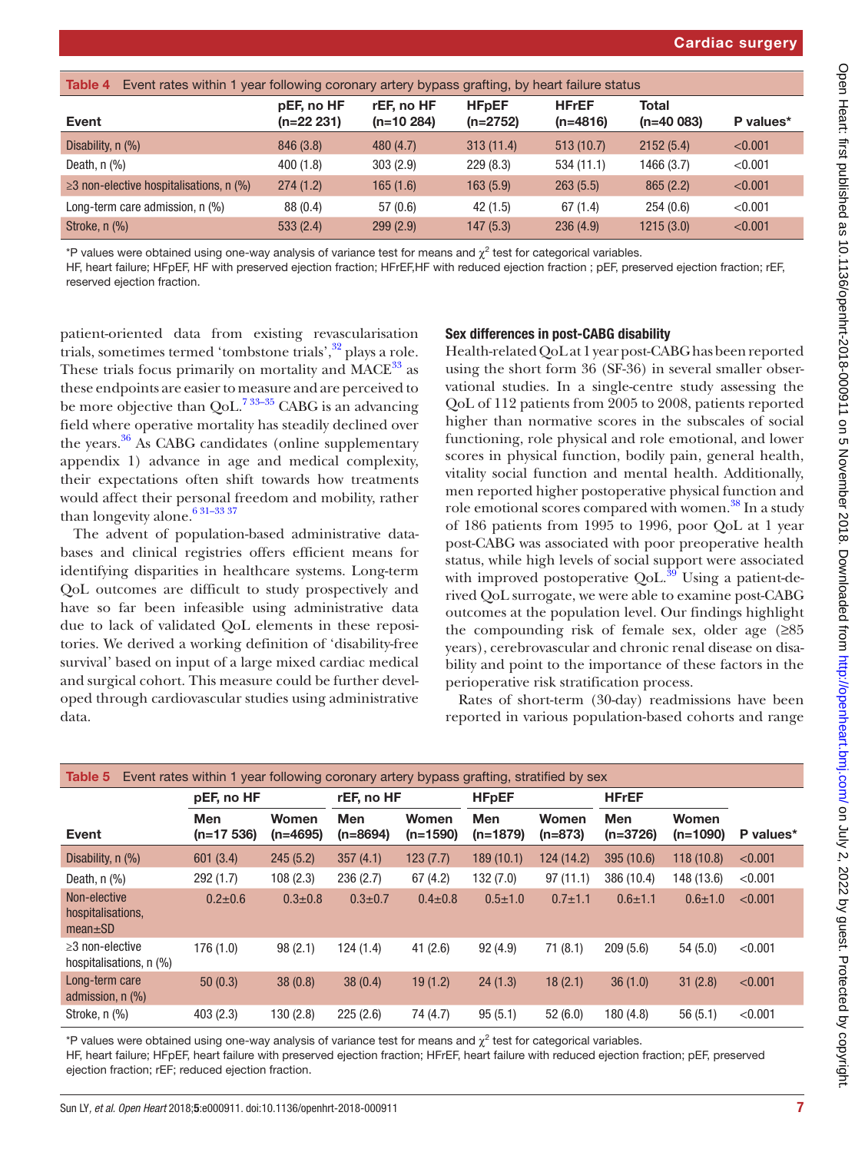<span id="page-6-0"></span>

| Event rates within 1 year following coronary artery bypass grafting, by heart failure status<br>Table 4 |                            |                            |                            |                            |                      |           |
|---------------------------------------------------------------------------------------------------------|----------------------------|----------------------------|----------------------------|----------------------------|----------------------|-----------|
| Event                                                                                                   | pEF, no HF<br>$(n=22 231)$ | rEF, no HF<br>$(n=10 284)$ | <b>HFpEF</b><br>$(n=2752)$ | <b>HFrEF</b><br>$(n=4816)$ | Total<br>$(n=40083)$ | P values* |
| Disability, $n$ $(\%)$                                                                                  | 846 (3.8)                  | 480 (4.7)                  | 313(11.4)                  | 513(10.7)                  | 2152(5.4)            | < 0.001   |
| Death, $n$ $\left(\frac{9}{6}\right)$                                                                   | 400(1.8)                   | 303(2.9)                   | 229(8.3)                   | 534(11.1)                  | 1466 (3.7)           | < 0.001   |
| $\geq$ 3 non-elective hospitalisations, n (%)                                                           | 274(1.2)                   | 165(1.6)                   | 163(5.9)                   | 263(5.5)                   | 865(2.2)             | < 0.001   |
| Long-term care admission, n (%)                                                                         | 88 (0.4)                   | 57(0.6)                    | 42 (1.5)                   | 67(1.4)                    | 254(0.6)             | < 0.001   |
| Stroke, n (%)                                                                                           | 533(2.4)                   | 299(2.9)                   | 147(5.3)                   | 236(4.9)                   | 1215(3.0)            | < 0.001   |

\*P values were obtained using one-way analysis of variance test for means and  $\chi^2$  test for categorical variables.

HF, heart failure; HFpEF, HF with preserved ejection fraction; HFrEF,HF with reduced ejection fraction ; pEF, preserved ejection fraction; rEF, reserved ejection fraction.

patient-oriented data from existing revascularisation trials, sometimes termed 'tombstone trials', $32$  plays a role. These trials focus primarily on mortality and MACE<sup>[33](#page-10-17)</sup> as these endpoints are easier to measure and are perceived to be more objective than QoL.<sup>[7 33–35](#page-10-2)</sup> CABG is an advancing field where operative mortality has steadily declined over the years. $36$  As CABG candidates ([online supplementary](https://dx.doi.org/10.1136/openhrt-2018-000911) [appendix 1](https://dx.doi.org/10.1136/openhrt-2018-000911)) advance in age and medical complexity, their expectations often shift towards how treatments would affect their personal freedom and mobility, rather than longevity alone.<sup>631-3337</sup>

The advent of population-based administrative databases and clinical registries offers efficient means for identifying disparities in healthcare systems. Long-term QoL outcomes are difficult to study prospectively and have so far been infeasible using administrative data due to lack of validated QoL elements in these repositories. We derived a working definition of 'disability-free survival' based on input of a large mixed cardiac medical and surgical cohort. This measure could be further developed through cardiovascular studies using administrative data.

## Sex differences in post-CABG disability

Health-related QoL at 1 year post-CABG has been reported using the short form 36 (SF-36) in several smaller observational studies. In a single-centre study assessing the QoL of 112 patients from 2005 to 2008, patients reported higher than normative scores in the subscales of social functioning, role physical and role emotional, and lower scores in physical function, bodily pain, general health, vitality social function and mental health. Additionally, men reported higher postoperative physical function and role emotional scores compared with women.<sup>38</sup> In a study of 186 patients from 1995 to 1996, poor QoL at 1 year post-CABG was associated with poor preoperative health status, while high levels of social support were associated with improved postoperative  $QoL<sup>39</sup>$  Using a patient-derived QoL surrogate, we were able to examine post-CABG outcomes at the population level. Our findings highlight the compounding risk of female sex, older age  $(≥85)$ years), cerebrovascular and chronic renal disease on disability and point to the importance of these factors in the perioperative risk stratification process.

Rates of short-term (30-day) readmissions have been reported in various population-based cohorts and range

<span id="page-6-1"></span>

| Table 5<br>Event rates within 1 year following coronary artery bypass grafting, stratified by sex |                           |                     |                          |                     |                          |                    |                          |                            |           |
|---------------------------------------------------------------------------------------------------|---------------------------|---------------------|--------------------------|---------------------|--------------------------|--------------------|--------------------------|----------------------------|-----------|
| pEF, no HF                                                                                        |                           | rEF, no HF          |                          | <b>HFpEF</b>        |                          | <b>HFrEF</b>       |                          |                            |           |
| Event                                                                                             | <b>Men</b><br>$(n=17536)$ | Women<br>$(n=4695)$ | <b>Men</b><br>$(n=8694)$ | Women<br>$(n=1590)$ | <b>Men</b><br>$(n=1879)$ | Women<br>$(n=873)$ | <b>Men</b><br>$(n=3726)$ | <b>Women</b><br>$(n=1090)$ | P values* |
| Disability, n (%)                                                                                 | 601(3.4)                  | 245(5.2)            | 357(4.1)                 | 123(7.7)            | 189(10.1)                | 124 (14.2)         | 395(10.6)                | 118(10.8)                  | < 0.001   |
| Death, $n$ $\left(\frac{9}{6}\right)$                                                             | 292(1.7)                  | 108(2.3)            | 236(2.7)                 | 67(4.2)             | 132(7.0)                 | 97(11.1)           | 386 (10.4)               | 148 (13.6)                 | < 0.001   |
| Non-elective<br>hospitalisations,<br>$mean \pm SD$                                                | $0.2 \pm 0.6$             | $0.3 \pm 0.8$       | $0.3 \pm 0.7$            | $0.4 \pm 0.8$       | $0.5 \pm 1.0$            | $0.7 + 1.1$        | $0.6 \pm 1.1$            | $0.6 + 1.0$                | < 0.001   |
| $\geq$ 3 non-elective<br>hospitalisations, n (%)                                                  | 176(1.0)                  | 98(2.1)             | 124(1.4)                 | 41(2.6)             | 92(4.9)                  | 71(8.1)            | 209(5.6)                 | 54(5.0)                    | < 0.001   |
| Long-term care<br>admission, $n$ $(\%)$                                                           | 50(0.3)                   | 38(0.8)             | 38(0.4)                  | 19(1.2)             | 24(1.3)                  | 18(2.1)            | 36(1.0)                  | 31(2.8)                    | < 0.001   |
| Stroke, n (%)                                                                                     | 403 (2.3)                 | 130(2.8)            | 225(2.6)                 | 74 (4.7)            | 95(5.1)                  | 52(6.0)            | 180 (4.8)                | 56(5.1)                    | < 0.001   |

\*P values were obtained using one-way analysis of variance test for means and  $\chi^2$  test for categorical variables. HF, heart failure; HFpEF, heart failure with preserved ejection fraction; HFrEF, heart failure with reduced ejection fraction; pEF, preserved ejection fraction; rEF; reduced ejection fraction.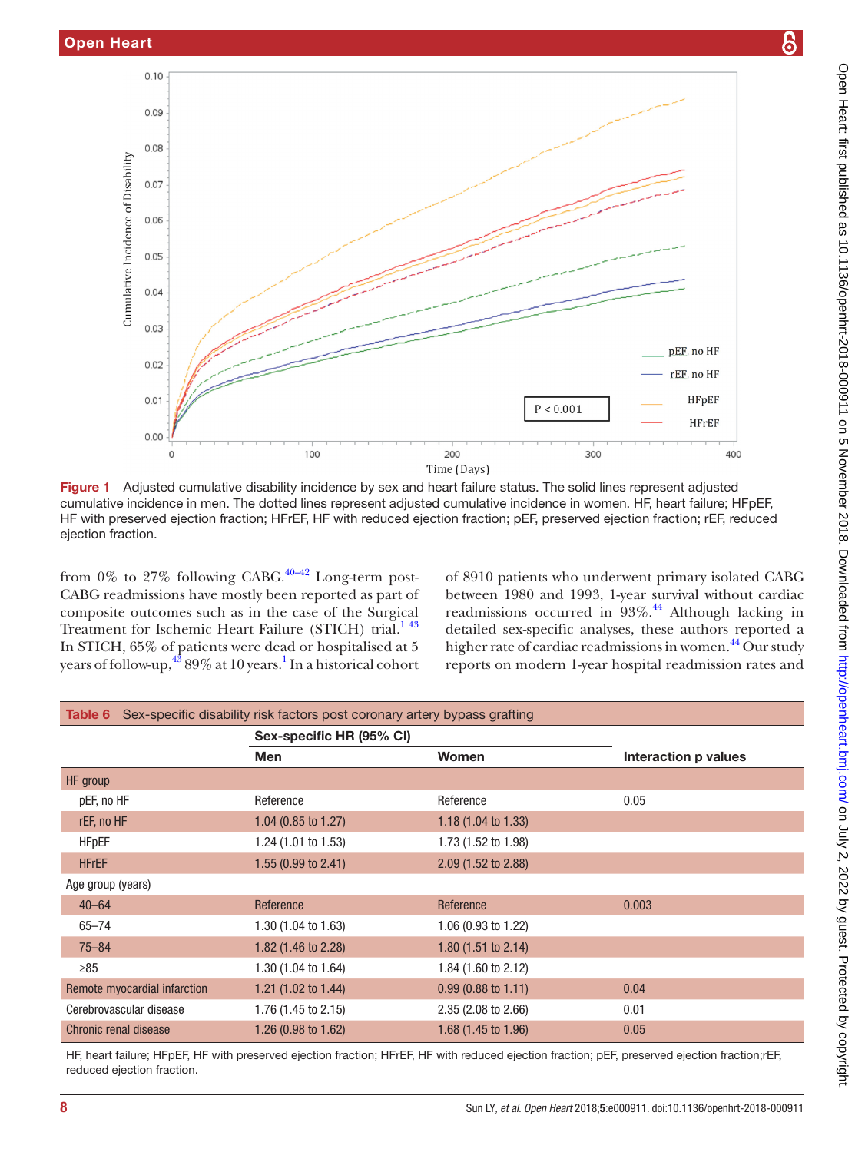

<span id="page-7-0"></span>Figure 1 Adjusted cumulative disability incidence by sex and heart failure status. The solid lines represent adjusted cumulative incidence in men. The dotted lines represent adjusted cumulative incidence in women. HF, heart failure; HFpEF, HF with preserved ejection fraction; HFrEF, HF with reduced ejection fraction; pEF, preserved ejection fraction; rEF, reduced ejection fraction.

from 0% to 27% following CABG.<sup>[40–42](#page-10-21)</sup> Long-term post-CABG readmissions have mostly been reported as part of composite outcomes such as in the case of the Surgical Treatment for Ischemic Heart Failure (STICH) trial.<sup>143</sup> In STICH, 65% of patients were dead or hospitalised at 5 years of follow-up, $^{4\bar{3}}$ 89% at 10 years. $^{\rm l}$  In a historical cohort of 8910 patients who underwent primary isolated CABG between 1980 and 1993, 1-year survival without cardiac readmissions occurred in  $93\%$ .<sup>44</sup> Although lacking in detailed sex-specific analyses, these authors reported a higher rate of cardiac readmissions in women.<sup>44</sup> Our study reports on modern 1-year hospital readmission rates and

<span id="page-7-1"></span>

| Sex-specific disability risk factors post coronary artery bypass grafting<br>Table 6 |                                |                                |                      |  |  |  |
|--------------------------------------------------------------------------------------|--------------------------------|--------------------------------|----------------------|--|--|--|
|                                                                                      | Sex-specific HR (95% CI)       |                                |                      |  |  |  |
|                                                                                      | <b>Men</b>                     | Women                          | Interaction p values |  |  |  |
| <b>HF</b> group                                                                      |                                |                                |                      |  |  |  |
| pEF, no HF                                                                           | Reference                      | Reference                      | 0.05                 |  |  |  |
| rEF, no HF                                                                           | 1.04 $(0.85 \text{ to } 1.27)$ | 1.18 $(1.04 \text{ to } 1.33)$ |                      |  |  |  |
| <b>HFpEF</b>                                                                         | 1.24 $(1.01 \text{ to } 1.53)$ | 1.73 (1.52 to 1.98)            |                      |  |  |  |
| <b>HFrEF</b>                                                                         | $1.55(0.99 \text{ to } 2.41)$  | 2.09 (1.52 to 2.88)            |                      |  |  |  |
| Age group (years)                                                                    |                                |                                |                      |  |  |  |
| $40 - 64$                                                                            | Reference                      | Reference                      | 0.003                |  |  |  |
| $65 - 74$                                                                            | $1.30(1.04 \text{ to } 1.63)$  | 1.06 (0.93 to 1.22)            |                      |  |  |  |
| $75 - 84$                                                                            | 1.82 $(1.46 \text{ to } 2.28)$ | 1.80 $(1.51 \text{ to } 2.14)$ |                      |  |  |  |
| $\geq 85$                                                                            | 1.30 (1.04 to 1.64)            | 1.84 (1.60 to 2.12)            |                      |  |  |  |
| Remote myocardial infarction                                                         | 1.21 $(1.02 \text{ to } 1.44)$ | $0.99(0.88 \text{ to } 1.11)$  | 0.04                 |  |  |  |
| Cerebrovascular disease                                                              | $1.76(1.45 \text{ to } 2.15)$  | 2.35(2.08 to 2.66)             | 0.01                 |  |  |  |
| Chronic renal disease                                                                | 1.26 (0.98 to 1.62)            | 1.68 (1.45 to 1.96)            | 0.05                 |  |  |  |

HF, heart failure; HFpEF, HF with preserved ejection fraction; HFrEF, HF with reduced ejection fraction; pEF, preserved ejection fraction;rEF, reduced ejection fraction.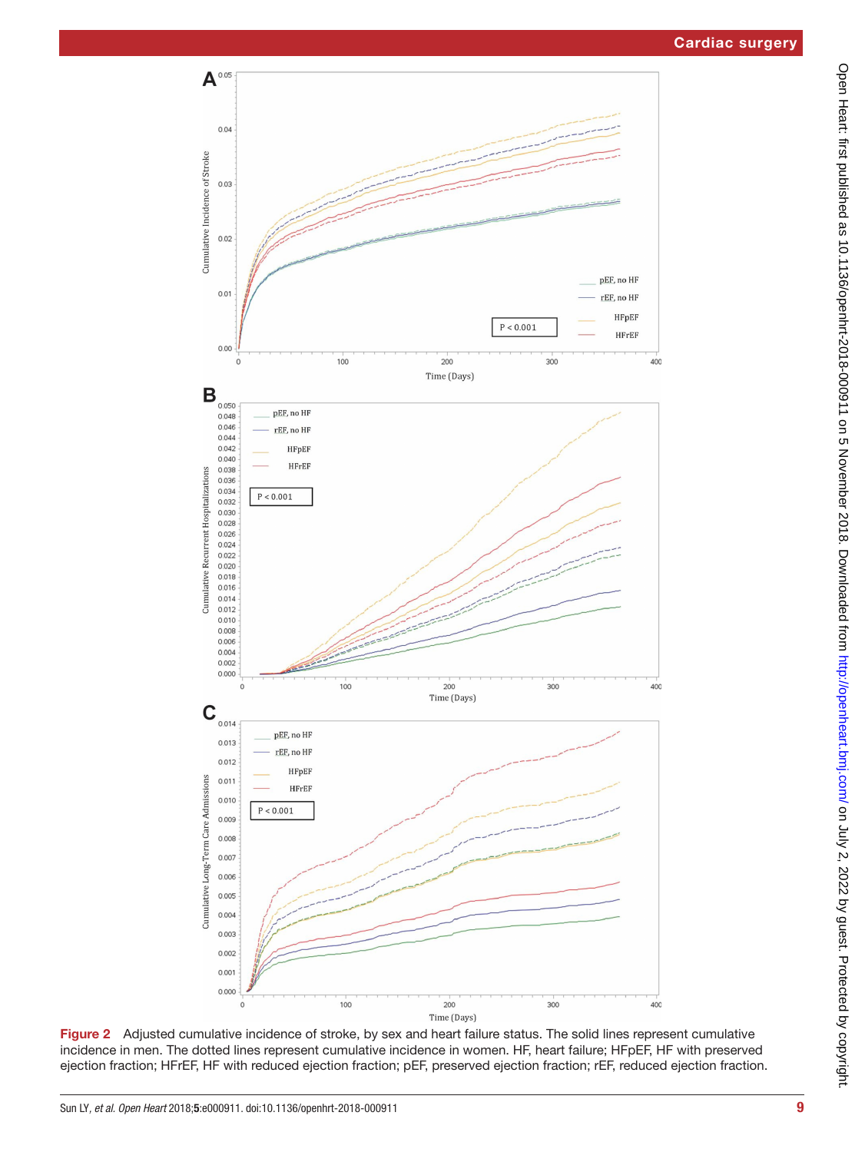

<span id="page-8-0"></span>Figure 2 Adjusted cumulative incidence of stroke, by sex and heart failure status. The solid lines represent cumulative incidence in men. The dotted lines represent cumulative incidence in women. HF, heart failure; HFpEF, HF with preserved ejection fraction; HFrEF, HF with reduced ejection fraction; pEF, preserved ejection fraction; rEF, reduced ejection fraction.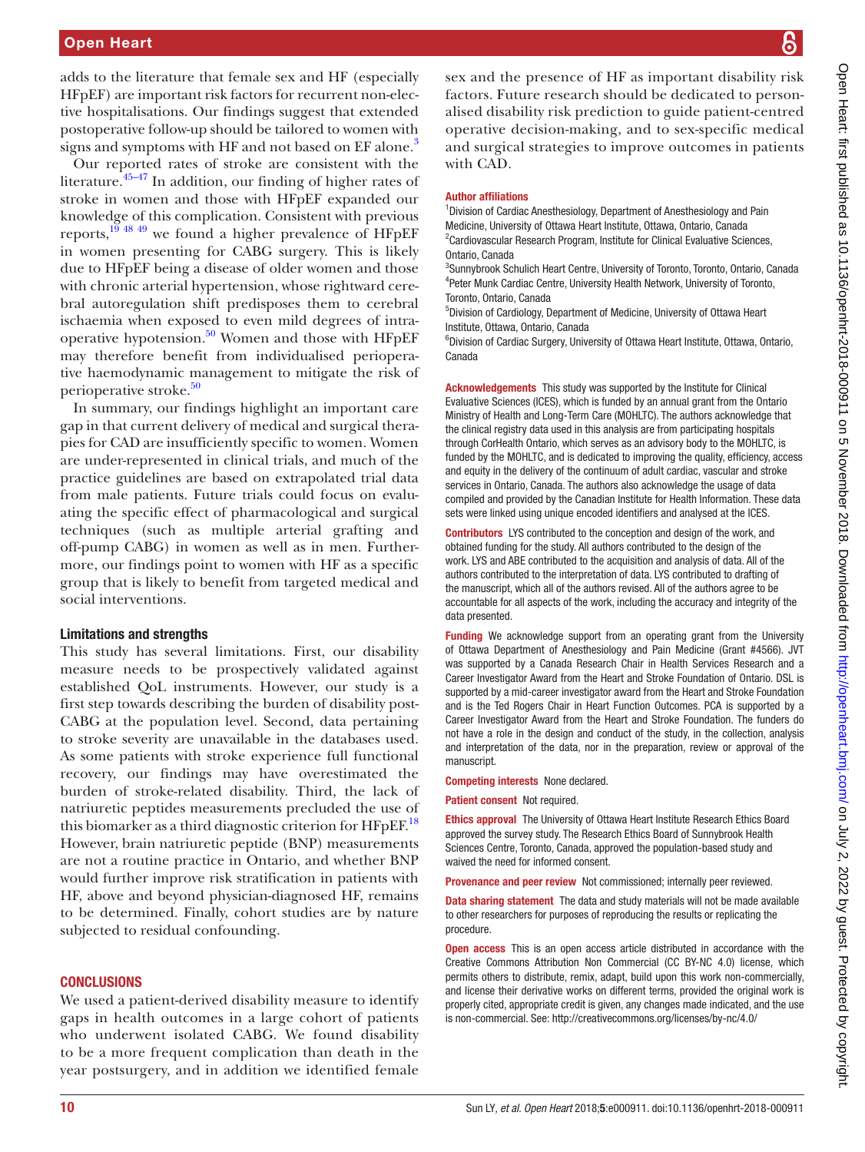adds to the literature that female sex and HF (especially HFpEF) are important risk factors for recurrent non-elective hospitalisations. Our findings suggest that extended postoperative follow-up should be tailored to women with signs and symptoms with HF and not based on EF alone.<sup>[3](#page-10-9)</sup>

Our reported rates of stroke are consistent with the literature. $45-47$  In addition, our finding of higher rates of stroke in women and those with HFpEF expanded our knowledge of this complication. Consistent with previous reports, $^{19}$ <sup>48</sup> 49 we found a higher prevalence of HFpEF in women presenting for CABG surgery. This is likely due to HFpEF being a disease of older women and those with chronic arterial hypertension, whose rightward cerebral autoregulation shift predisposes them to cerebral ischaemia when exposed to even mild degrees of intraoperative hypotension.<sup>50</sup> Women and those with HFpEF may therefore benefit from individualised perioperative haemodynamic management to mitigate the risk of perioperative stroke.<sup>50</sup>

In summary, our findings highlight an important care gap in that current delivery of medical and surgical therapies for CAD are insufficiently specific to women. Women are under-represented in clinical trials, and much of the practice guidelines are based on extrapolated trial data from male patients. Future trials could focus on evaluating the specific effect of pharmacological and surgical techniques (such as multiple arterial grafting and off-pump CABG) in women as well as in men. Furthermore, our findings point to women with HF as a specific group that is likely to benefit from targeted medical and social interventions.

## Limitations and strengths

This study has several limitations. First, our disability measure needs to be prospectively validated against established QoL instruments. However, our study is a first step towards describing the burden of disability post-CABG at the population level. Second, data pertaining to stroke severity are unavailable in the databases used. As some patients with stroke experience full functional recovery, our findings may have overestimated the burden of stroke-related disability. Third*,* the lack of natriuretic peptides measurements precluded the use of this biomarker as a third diagnostic criterion for HFpEF.<sup>18</sup> However, brain natriuretic peptide (BNP) measurements are not a routine practice in Ontario, and whether BNP would further improve risk stratification in patients with HF, above and beyond physician-diagnosed HF, remains to be determined. Finally, cohort studies are by nature subjected to residual confounding.

#### **CONCLUSIONS**

We used a patient-derived disability measure to identify gaps in health outcomes in a large cohort of patients who underwent isolated CABG. We found disability to be a more frequent complication than death in the year postsurgery, and in addition we identified female

sex and the presence of HF as important disability risk factors. Future research should be dedicated to personalised disability risk prediction to guide patient-centred operative decision-making, and to sex-specific medical and surgical strategies to improve outcomes in patients with CAD.

#### Author affiliations

<sup>1</sup> Division of Cardiac Anesthesiology, Department of Anesthesiology and Pain Medicine, University of Ottawa Heart Institute, Ottawa, Ontario, Canada <sup>2</sup> Cardiovascular Research Program, Institute for Clinical Evaluative Sciences, Ontario, Canada

<sup>3</sup>Sunnybrook Schulich Heart Centre, University of Toronto, Toronto, Ontario, Canada 4 Peter Munk Cardiac Centre, University Health Network, University of Toronto, Toronto, Ontario, Canada

5 Division of Cardiology, Department of Medicine, University of Ottawa Heart Institute, Ottawa, Ontario, Canada

<sup>6</sup>Division of Cardiac Surgery, University of Ottawa Heart Institute, Ottawa, Ontario, Canada

Acknowledgements This study was supported by the Institute for Clinical Evaluative Sciences (ICES), which is funded by an annual grant from the Ontario Ministry of Health and Long-Term Care (MOHLTC). The authors acknowledge that the clinical registry data used in this analysis are from participating hospitals through CorHealth Ontario, which serves as an advisory body to the MOHLTC, is funded by the MOHLTC, and is dedicated to improving the quality, efficiency, access and equity in the delivery of the continuum of adult cardiac, vascular and stroke services in Ontario, Canada. The authors also acknowledge the usage of data compiled and provided by the Canadian Institute for Health Information. These data sets were linked using unique encoded identifiers and analysed at the ICES.

Contributors LYS contributed to the conception and design of the work, and obtained funding for the study. All authors contributed to the design of the work. LYS and ABE contributed to the acquisition and analysis of data. All of the authors contributed to the interpretation of data. LYS contributed to drafting of the manuscript, which all of the authors revised. All of the authors agree to be accountable for all aspects of the work, including the accuracy and integrity of the data presented.

Funding We acknowledge support from an operating grant from the University of Ottawa Department of Anesthesiology and Pain Medicine (Grant #4566). JVT was supported by a Canada Research Chair in Health Services Research and a Career Investigator Award from the Heart and Stroke Foundation of Ontario. DSL is supported by a mid-career investigator award from the Heart and Stroke Foundation and is the Ted Rogers Chair in Heart Function Outcomes. PCA is supported by a Career Investigator Award from the Heart and Stroke Foundation. The funders do not have a role in the design and conduct of the study, in the collection, analysis and interpretation of the data, nor in the preparation, review or approval of the manuscript.

Competing interests None declared.

Patient consent Not required.

Ethics approval The University of Ottawa Heart Institute Research Ethics Board approved the survey study. The Research Ethics Board of Sunnybrook Health Sciences Centre, Toronto, Canada, approved the population-based study and waived the need for informed consent.

Provenance and peer review Not commissioned; internally peer reviewed.

Data sharing statement The data and study materials will not be made available to other researchers for purposes of reproducing the results or replicating the procedure.

Open access This is an open access article distributed in accordance with the Creative Commons Attribution Non Commercial (CC BY-NC 4.0) license, which permits others to distribute, remix, adapt, build upon this work non-commercially, and license their derivative works on different terms, provided the original work is properly cited, appropriate credit is given, any changes made indicated, and the use is non-commercial. See:<http://creativecommons.org/licenses/by-nc/4.0/>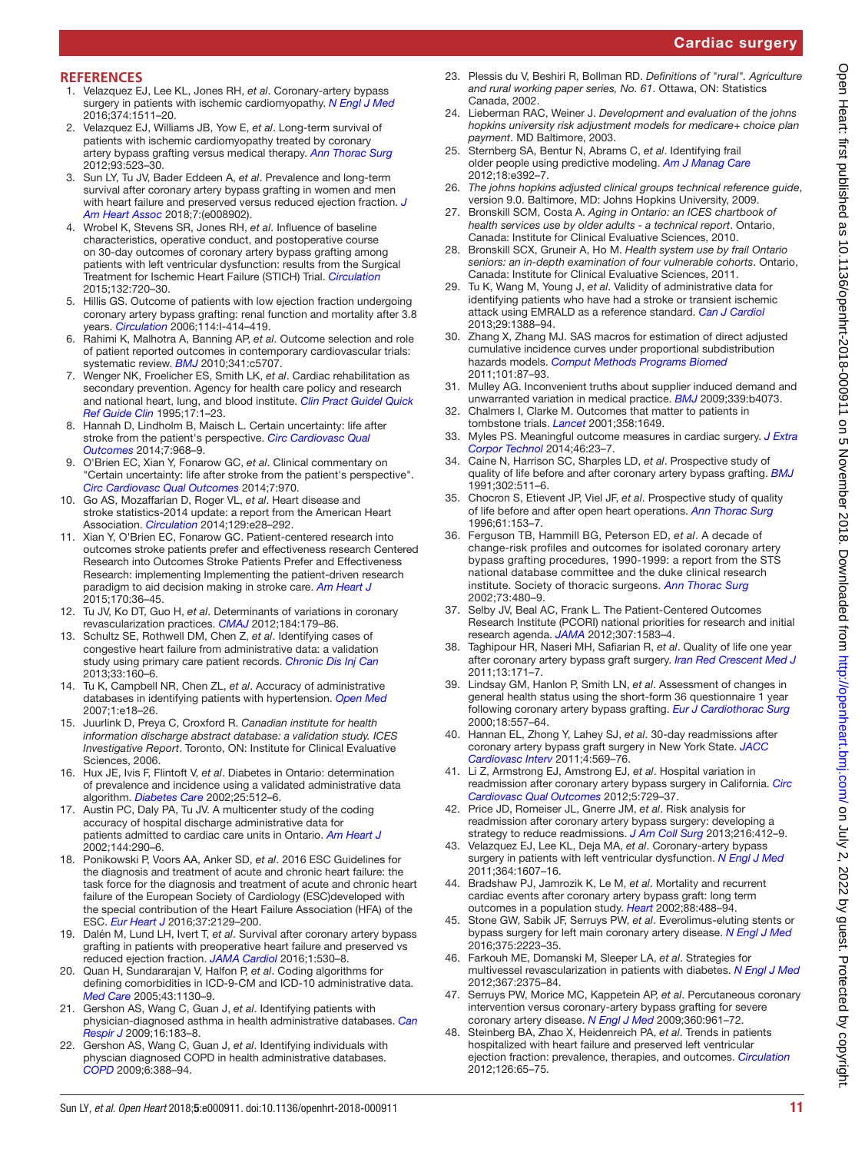## Cardiac surgery

## **References**

- <span id="page-10-0"></span>1. Velazquez EJ, Lee KL, Jones RH, *et al*. Coronary-artery bypass surgery in patients with ischemic cardiomyopathy. *[N Engl J Med](http://dx.doi.org/10.1056/NEJMoa1602001)* 2016;374:1511–20.
- 2. Velazquez EJ, Williams JB, Yow E, *et al*. Long-term survival of patients with ischemic cardiomyopathy treated by coronary artery bypass grafting versus medical therapy. *[Ann Thorac Surg](http://dx.doi.org/10.1016/j.athoracsur.2011.10.064)* 2012;93:523–30.
- <span id="page-10-9"></span>3. Sun LY, Tu JV, Bader Eddeen A, *et al*. Prevalence and long-term survival after coronary artery bypass grafting in women and men with heart failure and preserved versus reduced ejection fraction. *[J](http://dx.doi.org/10.1161/JAHA.118.008902)  [Am Heart Assoc](http://dx.doi.org/10.1161/JAHA.118.008902)* 2018;7:(e008902).
- 4. Wrobel K, Stevens SR, Jones RH, *et al*. Influence of baseline characteristics, operative conduct, and postoperative course on 30-day outcomes of coronary artery bypass grafting among patients with left ventricular dysfunction: results from the Surgical Treatment for Ischemic Heart Failure (STICH) Trial. *[Circulation](http://dx.doi.org/10.1161/CIRCULATIONAHA.114.014932)* 2015;132:720–30.
- 5. Hillis GS. Outcome of patients with low ejection fraction undergoing coronary artery bypass grafting: renal function and mortality after 3.8 years. *[Circulation](http://dx.doi.org/10.1161/CIRCULATIONAHA.105.000661)* 2006;114:I-414–419.
- <span id="page-10-1"></span>6. Rahimi K, Malhotra A, Banning AP, *et al*. Outcome selection and role of patient reported outcomes in contemporary cardiovascular trials: systematic review. *[BMJ](http://dx.doi.org/10.1136/bmj.c5707)* 2010;341:c5707.
- <span id="page-10-2"></span>7. Wenger NK, Froelicher ES, Smith LK, *et al*. Cardiac rehabilitation as secondary prevention. Agency for health care policy and research and national heart, lung, and blood institute. *[Clin Pract Guidel Quick](http://www.ncbi.nlm.nih.gov/pubmed/8595435)  [Ref Guide Clin](http://www.ncbi.nlm.nih.gov/pubmed/8595435)* 1995;17:1–23.
- <span id="page-10-3"></span>8. Hannah D, Lindholm B, Maisch L. Certain uncertainty: life after stroke from the patient's perspective. *[Circ Cardiovasc Qual](http://dx.doi.org/10.1161/CIRCOUTCOMES.114.001315)  [Outcomes](http://dx.doi.org/10.1161/CIRCOUTCOMES.114.001315)* 2014;7:968–9.
- 9. O'Brien EC, Xian Y, Fonarow GC, *et al*. Clinical commentary on "Certain uncertainty: life after stroke from the patient's perspective". *[Circ Cardiovasc Qual Outcomes](http://dx.doi.org/10.1161/CIRCOUTCOMES.114.001484)* 2014;7:970.
- <span id="page-10-4"></span>10. Go AS, Mozaffarian D, Roger VL, *et al*. Heart disease and stroke statistics-2014 update: a report from the American Heart Association. *[Circulation](http://dx.doi.org/10.1161/01.cir.0000441139.02102.80)* 2014;129:e28–292.
- 11. Xian Y, O'Brien EC, Fonarow GC. Patient-centered research into outcomes stroke patients prefer and effectiveness research Centered Research into Outcomes Stroke Patients Prefer and Effectiveness Research: implementing Implementing the patient-driven research paradigm to aid decision making in stroke care. *[Am Heart J](http://dx.doi.org/10.1016/j.ahj.2015.04.008)* 2015;170:36–45.
- <span id="page-10-5"></span>12. Tu JV, Ko DT, Guo H, *et al*. Determinants of variations in coronary revascularization practices. *[CMAJ](http://dx.doi.org/10.1503/cmaj.111072)* 2012;184:179–86.
- <span id="page-10-6"></span>13. Schultz SE, Rothwell DM, Chen Z, *et al*. Identifying cases of congestive heart failure from administrative data: a validation study using primary care patient records. *[Chronic Dis Inj Can](http://www.ncbi.nlm.nih.gov/pubmed/23735455)* 2013;33:160–6.
- <span id="page-10-7"></span>14. Tu K, Campbell NR, Chen ZL, *et al*. Accuracy of administrative databases in identifying patients with hypertension. *[Open Med](http://www.ncbi.nlm.nih.gov/pubmed/20101286)* 2007;1:e18–26.
- 15. Juurlink D, Preya C, Croxford R. *Canadian institute for health information discharge abstract database: a validation study. ICES Investigative Report*. Toronto, ON: Institute for Clinical Evaluative Sciences, 2006
- 16. Hux JE, Ivis F, Flintoft V, *et al*. Diabetes in Ontario: determination of prevalence and incidence using a validated administrative data algorithm. *[Diabetes Care](http://dx.doi.org/10.2337/diacare.25.3.512)* 2002;25:512–6.
- 17. Austin PC, Daly PA, Tu JV. A multicenter study of the coding accuracy of hospital discharge administrative data for patients admitted to cardiac care units in Ontario. *[Am Heart J](http://dx.doi.org/10.1067/mhj.2002.123839)* 2002;144:290–6.
- <span id="page-10-8"></span>18. Ponikowski P, Voors AA, Anker SD, *et al*. 2016 ESC Guidelines for the diagnosis and treatment of acute and chronic heart failure: the task force for the diagnosis and treatment of acute and chronic heart failure of the European Society of Cardiology (ESC)developed with the special contribution of the Heart Failure Association (HFA) of the ESC. *[Eur Heart J](http://dx.doi.org/10.1093/eurheartj/ehw128)* 2016;37:2129–200.
- <span id="page-10-25"></span>19. Dalén M, Lund LH, Ivert T, *et al*. Survival after coronary artery bypass grafting in patients with preoperative heart failure and preserved vs reduced ejection fraction. *[JAMA Cardiol](http://dx.doi.org/10.1001/jamacardio.2016.1465)* 2016;1:530–8.
- <span id="page-10-10"></span>20. Quan H, Sundararajan V, Halfon P, *et al*. Coding algorithms for defining comorbidities in ICD-9-CM and ICD-10 administrative data. *[Med Care](http://dx.doi.org/10.1097/01.mlr.0000182534.19832.83)* 2005;43:1130–9.
- 21. Gershon AS, Wang C, Guan J, *et al*. Identifying patients with physician-diagnosed asthma in health administrative databases. *[Can](http://dx.doi.org/10.1155/2009/963098)  [Respir J](http://dx.doi.org/10.1155/2009/963098)* 2009;16:183–8.
- 22. Gershon AS, Wang C, Guan J, *et al*. Identifying individuals with physcian diagnosed COPD in health administrative databases. *[COPD](http://dx.doi.org/10.1080/15412550903140865)* 2009;6:388–94.
- <span id="page-10-11"></span>23. Plessis du V, Beshiri R, Bollman RD. *Definitions of "rural". Agriculture and rural working paper series, No. 61*. Ottawa, ON: Statistics Canada, 2002.
- <span id="page-10-12"></span>24. Lieberman RAC, Weiner J. *Development and evaluation of the johns hopkins university risk adjustment models for medicare+ choice plan payment*. MD Baltimore, 2003.
- 25. Sternberg SA, Bentur N, Abrams C, *et al*. Identifying frail older people using predictive modeling. *[Am J Manag Care](http://www.ncbi.nlm.nih.gov/pubmed/23145847)* 2012;18:e392–7.
- 26. *The johns hopkins adjusted clinical groups technical reference guide*, version 9.0. Baltimore, MD: Johns Hopkins University, 2009.
- 27. Bronskill SCM, Costa A. *Aging in Ontario: an ICES chartbook of health services use by older adults - a technical report*. Ontario, Canada: Institute for Clinical Evaluative Sciences, 2010.
- 28. Bronskill SCX, Gruneir A, Ho M. *Health system use by frail Ontario seniors: an in-depth examination of four vulnerable cohorts*. Ontario, Canada: Institute for Clinical Evaluative Sciences, 2011.
- <span id="page-10-13"></span>29. Tu K, Wang M, Young J, *et al*. Validity of administrative data for identifying patients who have had a stroke or transient ischemic attack using EMRALD as a reference standard. *[Can J Cardiol](http://dx.doi.org/10.1016/j.cjca.2013.07.676)* 2013;29:1388–94.
- <span id="page-10-14"></span>30. Zhang X, Zhang MJ. SAS macros for estimation of direct adjusted cumulative incidence curves under proportional subdistribution hazards models. *[Comput Methods Programs Biomed](http://dx.doi.org/10.1016/j.cmpb.2010.07.005)* 2011;101:87–93.
- <span id="page-10-15"></span>31. Mulley AG. Inconvenient truths about supplier induced demand and unwarranted variation in medical practice. *[BMJ](http://dx.doi.org/10.1136/bmj.b4073)* 2009;339:b4073.
- <span id="page-10-16"></span>32. Chalmers I, Clarke M. Outcomes that matter to patients in tombstone trials. *[Lancet](http://dx.doi.org/10.1016/S0140-6736(01)06689-2)* 2001;358:1649.
- <span id="page-10-17"></span>33. Myles PS. Meaningful outcome measures in cardiac surgery. *[J Extra](http://www.ncbi.nlm.nih.gov/pubmed/24779115)  [Corpor Technol](http://www.ncbi.nlm.nih.gov/pubmed/24779115)* 2014;46:23–7.
- 34. Caine N, Harrison SC, Sharples LD, *et al*. Prospective study of quality of life before and after coronary artery bypass grafting. *[BMJ](http://dx.doi.org/10.1136/bmj.302.6775.511)* 1991;302:511–6.
- 35. Chocron S, Etievent JP, Viel JF, *et al*. Prospective study of quality of life before and after open heart operations. *[Ann Thorac Surg](http://dx.doi.org/10.1016/0003-4975(95)00936-1)* 1996;61:153–7.
- <span id="page-10-18"></span>36. Ferguson TB, Hammill BG, Peterson ED, *et al*. A decade of change-risk profiles and outcomes for isolated coronary artery bypass grafting procedures, 1990-1999: a report from the STS national database committee and the duke clinical research institute. Society of thoracic surgeons. *[Ann Thorac Surg](http://dx.doi.org/10.1016/S0003-4975(01)03339-2)* 2002;73:480–9.
- 37. Selby JV, Beal AC, Frank L. The Patient-Centered Outcomes Research Institute (PCORI) national priorities for research and initial research agenda. *[JAMA](http://dx.doi.org/10.1001/jama.2012.500)* 2012;307:1583–4.
- <span id="page-10-19"></span>38. Taghipour HR, Naseri MH, Safiarian R, *et al*. Quality of life one year after coronary artery bypass graft surgery. *[Iran Red Crescent Med J](http://www.ncbi.nlm.nih.gov/pubmed/22737458)* 2011;13:171–7.
- <span id="page-10-20"></span>39. Lindsay GM, Hanlon P, Smith LN, *et al*. Assessment of changes in general health status using the short-form 36 questionnaire 1 year following coronary artery bypass grafting. *[Eur J Cardiothorac Surg](http://dx.doi.org/10.1016/S1010-7940(00)00542-X)* 2000;18:557–64.
- <span id="page-10-21"></span>40. Hannan EL, Zhong Y, Lahey SJ, *et al*. 30-day readmissions after coronary artery bypass graft surgery in New York State. *[JACC](http://dx.doi.org/10.1016/j.jcin.2011.01.010)  [Cardiovasc Interv](http://dx.doi.org/10.1016/j.jcin.2011.01.010)* 2011;4:569–76.
- 41. Li Z, Armstrong EJ, Amstrong EJ, *et al*. Hospital variation in readmission after coronary artery bypass surgery in California. *[Circ](http://dx.doi.org/10.1161/CIRCOUTCOMES.112.966945)  [Cardiovasc Qual Outcomes](http://dx.doi.org/10.1161/CIRCOUTCOMES.112.966945)* 2012;5:729–37.
- 42. Price JD, Romeiser JL, Gnerre JM, *et al*. Risk analysis for readmission after coronary artery bypass surgery: developing a strategy to reduce readmissions. *[J Am Coll Surg](http://dx.doi.org/10.1016/j.jamcollsurg.2012.11.009)* 2013;216:412–9.
- <span id="page-10-22"></span>43. Velazquez EJ, Lee KL, Deja MA, *et al*. Coronary-artery bypass surgery in patients with left ventricular dysfunction. *[N Engl J Med](http://dx.doi.org/10.1056/NEJMoa1100356)* 2011;364:1607–16.
- <span id="page-10-23"></span>44. Bradshaw PJ, Jamrozik K, Le M, *et al*. Mortality and recurrent cardiac events after coronary artery bypass graft: long term outcomes in a population study. *[Heart](http://dx.doi.org/10.1136/heart.88.5.488)* 2002;88:488–94.
- <span id="page-10-24"></span>45. Stone GW, Sabik JF, Serruys PW, *et al*. Everolimus-eluting stents or bypass surgery for left main coronary artery disease. *[N Engl J Med](http://dx.doi.org/10.1056/NEJMoa1610227)* 2016;375:2223–35.
- 46. Farkouh ME, Domanski M, Sleeper LA, *et al*. Strategies for multivessel revascularization in patients with diabetes. *[N Engl J Med](http://dx.doi.org/10.1056/NEJMoa1211585)* 2012;367:2375–84.
- 47. Serruys PW, Morice MC, Kappetein AP, *et al*. Percutaneous coronary intervention versus coronary-artery bypass grafting for severe coronary artery disease. *[N Engl J Med](http://dx.doi.org/10.1056/NEJMoa0804626)* 2009;360:961–72.
- 48. Steinberg BA, Zhao X, Heidenreich PA, *et al*. Trends in patients hospitalized with heart failure and preserved left ventricular ejection fraction: prevalence, therapies, and outcomes. *[Circulation](http://dx.doi.org/10.1161/CIRCULATIONAHA.111.080770)* 2012;126:65–75.